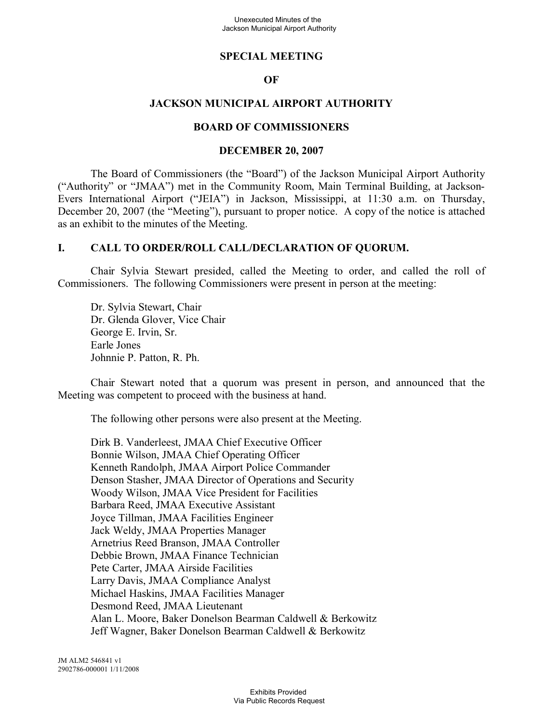### **SPECIAL MEETING**

### **OF**

## **JACKSON MUNICIPAL AIRPORT AUTHORITY**

#### **BOARD OF COMMISSIONERS**

### **DECEMBER 20, 2007**

The Board of Commissioners (the "Board") of the Jackson Municipal Airport Authority ("Authority" or "JMAA") met in the Community Room, Main Terminal Building, at Jackson-Evers International Airport ("JEIA") in Jackson, Mississippi, at 11:30 a.m. on Thursday, December 20, 2007 (the "Meeting"), pursuant to proper notice. A copy of the notice is attached as an exhibit to the minutes of the Meeting.

### **I. CALL TO ORDER/ROLL CALL/DECLARATION OF QUORUM.**

Chair Sylvia Stewart presided, called the Meeting to order, and called the roll of Commissioners. The following Commissioners were present in person at the meeting:

Dr. Sylvia Stewart, Chair Dr. Glenda Glover, Vice Chair George E. Irvin, Sr. Earle Jones Johnnie P. Patton, R. Ph.

Chair Stewart noted that a quorum was present in person, and announced that the Meeting was competent to proceed with the business at hand.

The following other persons were also present at the Meeting.

Dirk B. Vanderleest, JMAA Chief Executive Officer Bonnie Wilson, JMAA Chief Operating Officer Kenneth Randolph, JMAA Airport Police Commander Denson Stasher, JMAA Director of Operations and Security Woody Wilson, JMAA Vice President for Facilities Barbara Reed, JMAA Executive Assistant Joyce Tillman, JMAA Facilities Engineer Jack Weldy, JMAA Properties Manager Arnetrius Reed Branson, JMAA Controller Debbie Brown, JMAA Finance Technician Pete Carter, JMAA Airside Facilities Larry Davis, JMAA Compliance Analyst Michael Haskins, JMAA Facilities Manager Desmond Reed, JMAA Lieutenant Alan L. Moore, Baker Donelson Bearman Caldwell & Berkowitz Jeff Wagner, Baker Donelson Bearman Caldwell & Berkowitz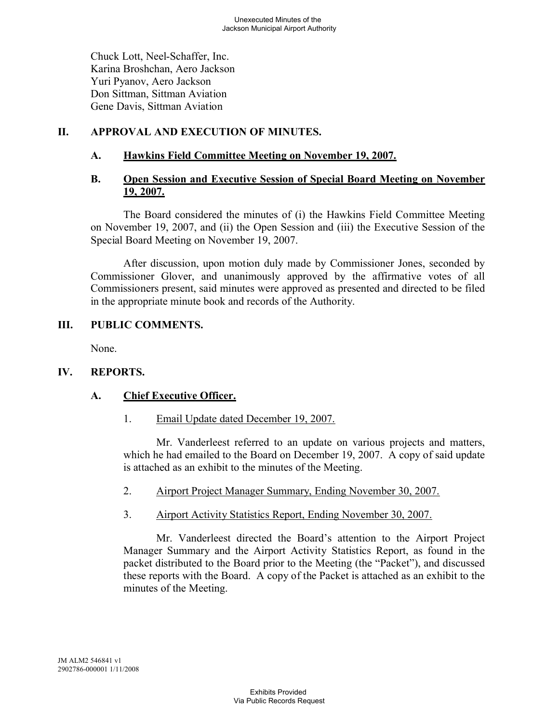Chuck Lott, Neel-Schaffer, Inc. Karina Broshchan, Aero Jackson Yuri Pyanov, Aero Jackson Don Sittman, Sittman Aviation Gene Davis, Sittman Aviation

# **II. APPROVAL AND EXECUTION OF MINUTES.**

# **A. Hawkins Field Committee Meeting on November 19, 2007.**

# **B. Open Session and Executive Session of Special Board Meeting on November 19, 2007.**

The Board considered the minutes of (i) the Hawkins Field Committee Meeting on November 19, 2007, and (ii) the Open Session and (iii) the Executive Session of the Special Board Meeting on November 19, 2007.

After discussion, upon motion duly made by Commissioner Jones, seconded by Commissioner Glover, and unanimously approved by the affirmative votes of all Commissioners present, said minutes were approved as presented and directed to be filed in the appropriate minute book and records of the Authority.

# **III. PUBLIC COMMENTS.**

None.

# **IV. REPORTS.**

# **A. Chief Executive Officer.**

1. Email Update dated December 19, 2007.

Mr. Vanderleest referred to an update on various projects and matters, which he had emailed to the Board on December 19, 2007. A copy of said update is attached as an exhibit to the minutes of the Meeting.

- 2. Airport Project Manager Summary, Ending November 30, 2007.
- 3. Airport Activity Statistics Report, Ending November 30, 2007.

Mr. Vanderleest directed the Board's attention to the Airport Project Manager Summary and the Airport Activity Statistics Report, as found in the packet distributed to the Board prior to the Meeting (the "Packet"), and discussed these reports with the Board. A copy of the Packet is attached as an exhibit to the minutes of the Meeting.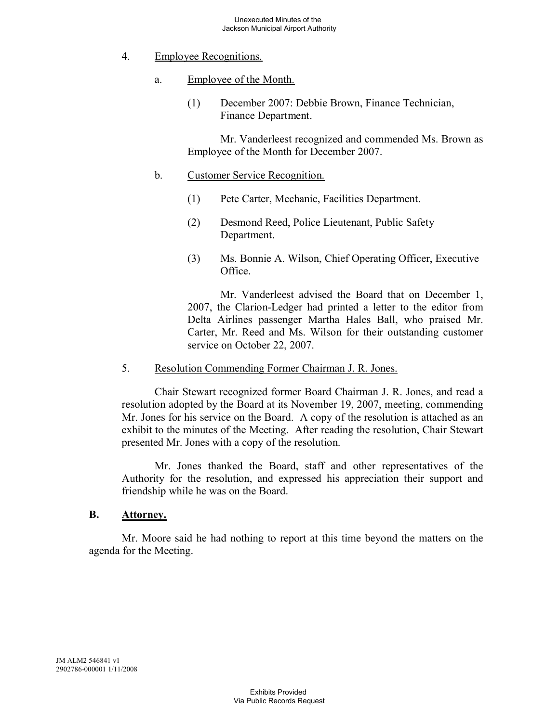- 4. Employee Recognitions.
	- a. Employee of the Month.
		- (1) December 2007: Debbie Brown, Finance Technician, Finance Department.

Mr. Vanderleest recognized and commended Ms. Brown as Employee of the Month for December 2007.

- b. Customer Service Recognition.
	- (1) Pete Carter, Mechanic, Facilities Department.
	- (2) Desmond Reed, Police Lieutenant, Public Safety Department.
	- (3) Ms. Bonnie A. Wilson, Chief Operating Officer, Executive Office.

Mr. Vanderleest advised the Board that on December 1, 2007, the Clarion-Ledger had printed a letter to the editor from Delta Airlines passenger Martha Hales Ball, who praised Mr. Carter, Mr. Reed and Ms. Wilson for their outstanding customer service on October 22, 2007.

5. Resolution Commending Former Chairman J. R. Jones.

Chair Stewart recognized former Board Chairman J. R. Jones, and read a resolution adopted by the Board at its November 19, 2007, meeting, commending Mr. Jones for his service on the Board. A copy of the resolution is attached as an exhibit to the minutes of the Meeting. After reading the resolution, Chair Stewart presented Mr. Jones with a copy of the resolution.

Mr. Jones thanked the Board, staff and other representatives of the Authority for the resolution, and expressed his appreciation their support and friendship while he was on the Board.

#### **B. Attorney.**

Mr. Moore said he had nothing to report at this time beyond the matters on the agenda for the Meeting.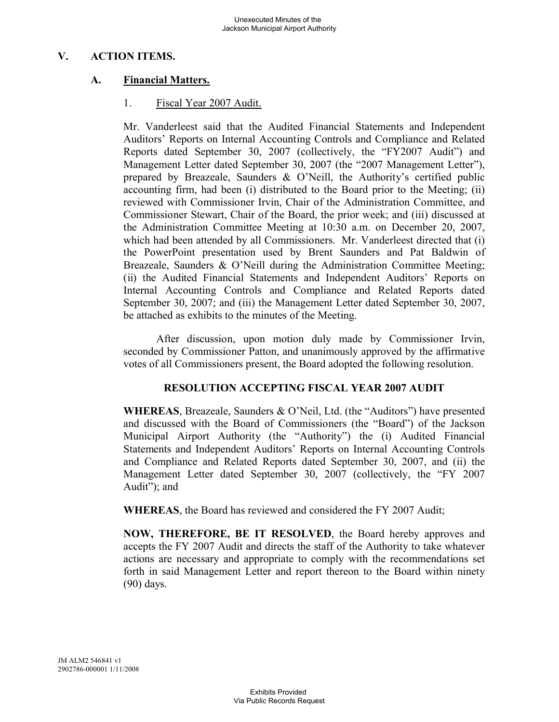## **V. ACTION ITEMS.**

# **A. Financial Matters.**

### 1. Fiscal Year 2007 Audit.

Mr. Vanderleest said that the Audited Financial Statements and Independent Auditors' Reports on Internal Accounting Controls and Compliance and Related Reports dated September 30, 2007 (collectively, the "FY2007 Audit") and Management Letter dated September 30, 2007 (the "2007 Management Letter"), prepared by Breazeale, Saunders & O'Neill, the Authority's certified public accounting firm, had been (i) distributed to the Board prior to the Meeting; (ii) reviewed with Commissioner Irvin, Chair of the Administration Committee, and Commissioner Stewart, Chair of the Board, the prior week; and (iii) discussed at the Administration Committee Meeting at 10:30 a.m. on December 20, 2007, which had been attended by all Commissioners. Mr. Vanderleest directed that (i) the PowerPoint presentation used by Brent Saunders and Pat Baldwin of Breazeale, Saunders & O'Neill during the Administration Committee Meeting; (ii) the Audited Financial Statements and Independent Auditors' Reports on Internal Accounting Controls and Compliance and Related Reports dated September 30, 2007; and (iii) the Management Letter dated September 30, 2007, be attached as exhibits to the minutes of the Meeting.

After discussion, upon motion duly made by Commissioner Irvin, seconded by Commissioner Patton, and unanimously approved by the affirmative votes of all Commissioners present, the Board adopted the following resolution.

#### **RESOLUTION ACCEPTING FISCAL YEAR 2007 AUDIT**

**WHEREAS**, Breazeale, Saunders & O'Neil, Ltd. (the "Auditors") have presented and discussed with the Board of Commissioners (the "Board") of the Jackson Municipal Airport Authority (the "Authority") the (i) Audited Financial Statements and Independent Auditors' Reports on Internal Accounting Controls and Compliance and Related Reports dated September 30, 2007, and (ii) the Management Letter dated September 30, 2007 (collectively, the "FY 2007 Audit"); and

**WHEREAS**, the Board has reviewed and considered the FY 2007 Audit;

**NOW, THEREFORE, BE IT RESOLVED**, the Board hereby approves and accepts the FY 2007 Audit and directs the staff of the Authority to take whatever actions are necessary and appropriate to comply with the recommendations set forth in said Management Letter and report thereon to the Board within ninety (90) days.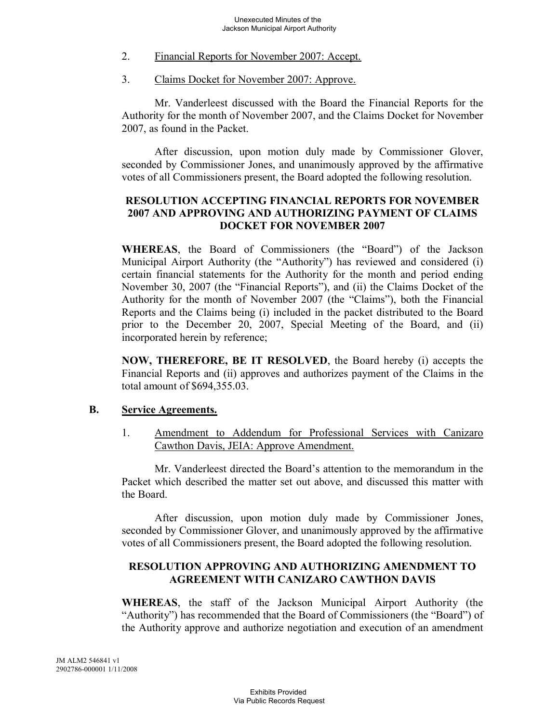- 2. Financial Reports for November 2007: Accept.
- 3. Claims Docket for November 2007: Approve.

Mr. Vanderleest discussed with the Board the Financial Reports for the Authority for the month of November 2007, and the Claims Docket for November 2007, as found in the Packet.

After discussion, upon motion duly made by Commissioner Glover, seconded by Commissioner Jones, and unanimously approved by the affirmative votes of all Commissioners present, the Board adopted the following resolution.

# **RESOLUTION ACCEPTING FINANCIAL REPORTS FOR NOVEMBER 2007 AND APPROVING AND AUTHORIZING PAYMENT OF CLAIMS DOCKET FOR NOVEMBER 2007**

**WHEREAS**, the Board of Commissioners (the "Board") of the Jackson Municipal Airport Authority (the "Authority") has reviewed and considered (i) certain financial statements for the Authority for the month and period ending November 30, 2007 (the "Financial Reports"), and (ii) the Claims Docket of the Authority for the month of November 2007 (the "Claims"), both the Financial Reports and the Claims being (i) included in the packet distributed to the Board prior to the December 20, 2007, Special Meeting of the Board, and (ii) incorporated herein by reference;

**NOW, THEREFORE, BE IT RESOLVED**, the Board hereby (i) accepts the Financial Reports and (ii) approves and authorizes payment of the Claims in the total amount of \$694,355.03.

#### **B. Service Agreements.**

1. Amendment to Addendum for Professional Services with Canizaro Cawthon Davis, JEIA: Approve Amendment.

Mr. Vanderleest directed the Board's attention to the memorandum in the Packet which described the matter set out above, and discussed this matter with the Board.

After discussion, upon motion duly made by Commissioner Jones, seconded by Commissioner Glover, and unanimously approved by the affirmative votes of all Commissioners present, the Board adopted the following resolution.

# **RESOLUTION APPROVING AND AUTHORIZING AMENDMENT TO AGREEMENT WITH CANIZARO CAWTHON DAVIS**

**WHEREAS**, the staff of the Jackson Municipal Airport Authority (the "Authority") has recommended that the Board of Commissioners (the "Board") of the Authority approve and authorize negotiation and execution of an amendment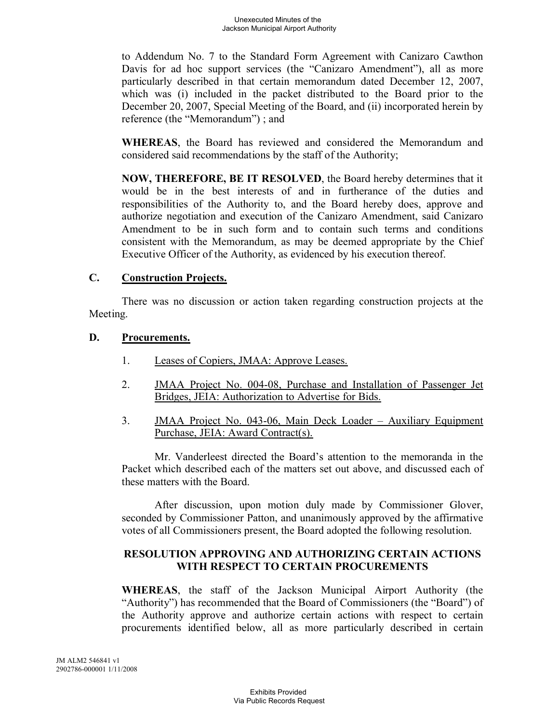to Addendum No. 7 to the Standard Form Agreement with Canizaro Cawthon Davis for ad hoc support services (the "Canizaro Amendment"), all as more particularly described in that certain memorandum dated December 12, 2007, which was (i) included in the packet distributed to the Board prior to the December 20, 2007, Special Meeting of the Board, and (ii) incorporated herein by reference (the "Memorandum") ; and

**WHEREAS**, the Board has reviewed and considered the Memorandum and considered said recommendations by the staff of the Authority;

**NOW, THEREFORE, BE IT RESOLVED**, the Board hereby determines that it would be in the best interests of and in furtherance of the duties and responsibilities of the Authority to, and the Board hereby does, approve and authorize negotiation and execution of the Canizaro Amendment, said Canizaro Amendment to be in such form and to contain such terms and conditions consistent with the Memorandum, as may be deemed appropriate by the Chief Executive Officer of the Authority, as evidenced by his execution thereof.

### **C. Construction Projects.**

There was no discussion or action taken regarding construction projects at the Meeting.

### **D. Procurements.**

- 1. Leases of Copiers, JMAA: Approve Leases.
- 2. JMAA Project No. 004-08, Purchase and Installation of Passenger Jet Bridges, JEIA: Authorization to Advertise for Bids.
- 3. JMAA Project No. 043-06, Main Deck Loader Auxiliary Equipment Purchase, JEIA: Award Contract(s).

Mr. Vanderleest directed the Board's attention to the memoranda in the Packet which described each of the matters set out above, and discussed each of these matters with the Board.

After discussion, upon motion duly made by Commissioner Glover, seconded by Commissioner Patton, and unanimously approved by the affirmative votes of all Commissioners present, the Board adopted the following resolution.

### **RESOLUTION APPROVING AND AUTHORIZING CERTAIN ACTIONS WITH RESPECT TO CERTAIN PROCUREMENTS**

**WHEREAS**, the staff of the Jackson Municipal Airport Authority (the "Authority") has recommended that the Board of Commissioners (the "Board") of the Authority approve and authorize certain actions with respect to certain procurements identified below, all as more particularly described in certain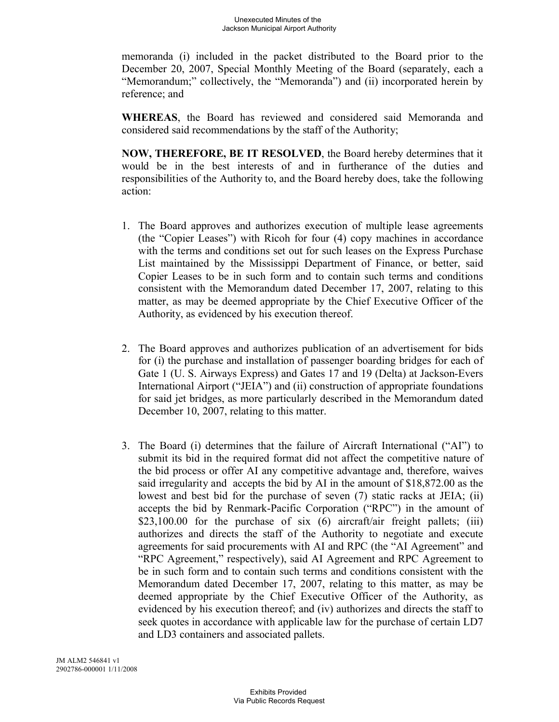memoranda (i) included in the packet distributed to the Board prior to the December 20, 2007, Special Monthly Meeting of the Board (separately, each a "Memorandum;" collectively, the "Memoranda") and (ii) incorporated herein by reference; and

**WHEREAS**, the Board has reviewed and considered said Memoranda and considered said recommendations by the staff of the Authority;

**NOW, THEREFORE, BE IT RESOLVED**, the Board hereby determines that it would be in the best interests of and in furtherance of the duties and responsibilities of the Authority to, and the Board hereby does, take the following action:

- 1. The Board approves and authorizes execution of multiple lease agreements (the "Copier Leases") with Ricoh for four (4) copy machines in accordance with the terms and conditions set out for such leases on the Express Purchase List maintained by the Mississippi Department of Finance, or better, said Copier Leases to be in such form and to contain such terms and conditions consistent with the Memorandum dated December 17, 2007, relating to this matter, as may be deemed appropriate by the Chief Executive Officer of the Authority, as evidenced by his execution thereof.
- 2. The Board approves and authorizes publication of an advertisement for bids for (i) the purchase and installation of passenger boarding bridges for each of Gate 1 (U. S. Airways Express) and Gates 17 and 19 (Delta) at Jackson-Evers International Airport ("JEIA") and (ii) construction of appropriate foundations for said jet bridges, as more particularly described in the Memorandum dated December 10, 2007, relating to this matter.
- 3. The Board (i) determines that the failure of Aircraft International ("AI") to submit its bid in the required format did not affect the competitive nature of the bid process or offer AI any competitive advantage and, therefore, waives said irregularity and accepts the bid by AI in the amount of \$18,872.00 as the lowest and best bid for the purchase of seven (7) static racks at JEIA; (ii) accepts the bid by Renmark-Pacific Corporation ("RPC") in the amount of \$23,100.00 for the purchase of six (6) aircraft/air freight pallets; (iii) authorizes and directs the staff of the Authority to negotiate and execute agreements for said procurements with AI and RPC (the "AI Agreement" and "RPC Agreement," respectively), said AI Agreement and RPC Agreement to be in such form and to contain such terms and conditions consistent with the Memorandum dated December 17, 2007, relating to this matter, as may be deemed appropriate by the Chief Executive Officer of the Authority, as evidenced by his execution thereof; and (iv) authorizes and directs the staff to seek quotes in accordance with applicable law for the purchase of certain LD7 and LD3 containers and associated pallets.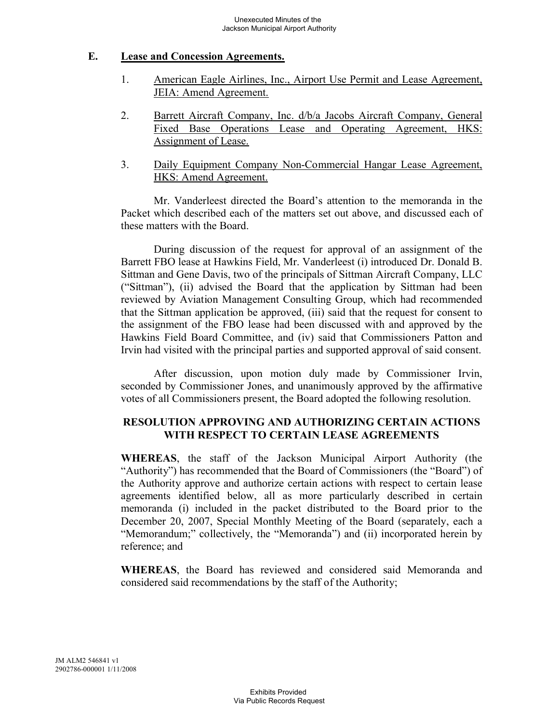### **E. Lease and Concession Agreements.**

- 1. American Eagle Airlines, Inc., Airport Use Permit and Lease Agreement, JEIA: Amend Agreement.
- 2. Barrett Aircraft Company, Inc. d/b/a Jacobs Aircraft Company, General Fixed Base Operations Lease and Operating Agreement, HKS: Assignment of Lease.
- 3. Daily Equipment Company Non-Commercial Hangar Lease Agreement, HKS: Amend Agreement.

Mr. Vanderleest directed the Board's attention to the memoranda in the Packet which described each of the matters set out above, and discussed each of these matters with the Board.

During discussion of the request for approval of an assignment of the Barrett FBO lease at Hawkins Field, Mr. Vanderleest (i) introduced Dr. Donald B. Sittman and Gene Davis, two of the principals of Sittman Aircraft Company, LLC ("Sittman"), (ii) advised the Board that the application by Sittman had been reviewed by Aviation Management Consulting Group, which had recommended that the Sittman application be approved, (iii) said that the request for consent to the assignment of the FBO lease had been discussed with and approved by the Hawkins Field Board Committee, and (iv) said that Commissioners Patton and Irvin had visited with the principal parties and supported approval of said consent.

After discussion, upon motion duly made by Commissioner Irvin, seconded by Commissioner Jones, and unanimously approved by the affirmative votes of all Commissioners present, the Board adopted the following resolution.

# **RESOLUTION APPROVING AND AUTHORIZING CERTAIN ACTIONS WITH RESPECT TO CERTAIN LEASE AGREEMENTS**

**WHEREAS**, the staff of the Jackson Municipal Airport Authority (the "Authority") has recommended that the Board of Commissioners (the "Board") of the Authority approve and authorize certain actions with respect to certain lease agreements identified below, all as more particularly described in certain memoranda (i) included in the packet distributed to the Board prior to the December 20, 2007, Special Monthly Meeting of the Board (separately, each a "Memorandum;" collectively, the "Memoranda") and (ii) incorporated herein by reference; and

**WHEREAS**, the Board has reviewed and considered said Memoranda and considered said recommendations by the staff of the Authority;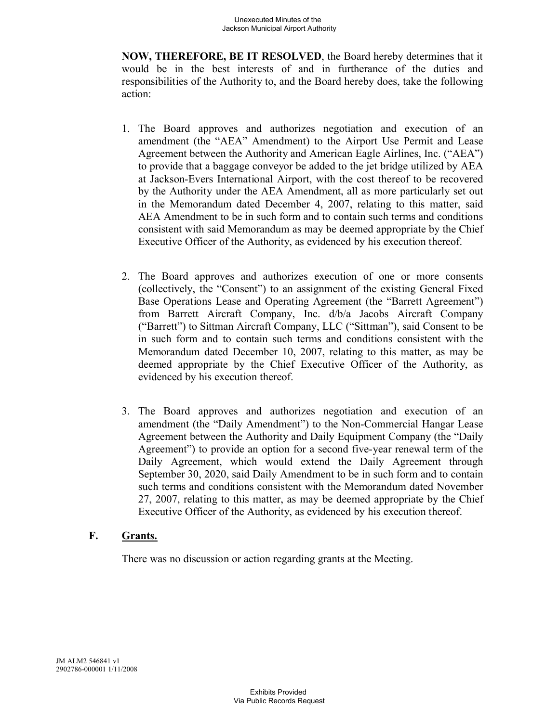**NOW, THEREFORE, BE IT RESOLVED**, the Board hereby determines that it would be in the best interests of and in furtherance of the duties and responsibilities of the Authority to, and the Board hereby does, take the following action:

- 1. The Board approves and authorizes negotiation and execution of an amendment (the "AEA" Amendment) to the Airport Use Permit and Lease Agreement between the Authority and American Eagle Airlines, Inc. ("AEA") to provide that a baggage conveyor be added to the jet bridge utilized by AEA at Jackson-Evers International Airport, with the cost thereof to be recovered by the Authority under the AEA Amendment, all as more particularly set out in the Memorandum dated December 4, 2007, relating to this matter, said AEA Amendment to be in such form and to contain such terms and conditions consistent with said Memorandum as may be deemed appropriate by the Chief Executive Officer of the Authority, as evidenced by his execution thereof.
- 2. The Board approves and authorizes execution of one or more consents (collectively, the "Consent") to an assignment of the existing General Fixed Base Operations Lease and Operating Agreement (the "Barrett Agreement") from Barrett Aircraft Company, Inc. d/b/a Jacobs Aircraft Company ("Barrett") to Sittman Aircraft Company, LLC ("Sittman"), said Consent to be in such form and to contain such terms and conditions consistent with the Memorandum dated December 10, 2007, relating to this matter, as may be deemed appropriate by the Chief Executive Officer of the Authority, as evidenced by his execution thereof.
- 3. The Board approves and authorizes negotiation and execution of an amendment (the "Daily Amendment") to the Non-Commercial Hangar Lease Agreement between the Authority and Daily Equipment Company (the "Daily Agreement") to provide an option for a second five-year renewal term of the Daily Agreement, which would extend the Daily Agreement through September 30, 2020, said Daily Amendment to be in such form and to contain such terms and conditions consistent with the Memorandum dated November 27, 2007, relating to this matter, as may be deemed appropriate by the Chief Executive Officer of the Authority, as evidenced by his execution thereof.

# **F. Grants.**

There was no discussion or action regarding grants at the Meeting.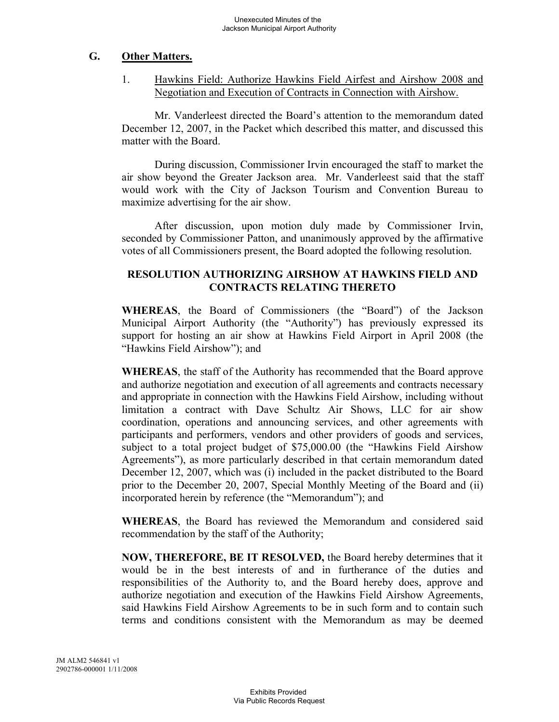### **G. Other Matters.**

1. Hawkins Field: Authorize Hawkins Field Airfest and Airshow 2008 and Negotiation and Execution of Contracts in Connection with Airshow.

Mr. Vanderleest directed the Board's attention to the memorandum dated December 12, 2007, in the Packet which described this matter, and discussed this matter with the Board.

During discussion, Commissioner Irvin encouraged the staff to market the air show beyond the Greater Jackson area. Mr. Vanderleest said that the staff would work with the City of Jackson Tourism and Convention Bureau to maximize advertising for the air show.

After discussion, upon motion duly made by Commissioner Irvin, seconded by Commissioner Patton, and unanimously approved by the affirmative votes of all Commissioners present, the Board adopted the following resolution.

## **RESOLUTION AUTHORIZING AIRSHOW AT HAWKINS FIELD AND CONTRACTS RELATING THERETO**

**WHEREAS**, the Board of Commissioners (the "Board") of the Jackson Municipal Airport Authority (the "Authority") has previously expressed its support for hosting an air show at Hawkins Field Airport in April 2008 (the "Hawkins Field Airshow"); and

**WHEREAS**, the staff of the Authority has recommended that the Board approve and authorize negotiation and execution of all agreements and contracts necessary and appropriate in connection with the Hawkins Field Airshow, including without limitation a contract with Dave Schultz Air Shows, LLC for air show coordination, operations and announcing services, and other agreements with participants and performers, vendors and other providers of goods and services, subject to a total project budget of \$75,000.00 (the "Hawkins Field Airshow Agreements"), as more particularly described in that certain memorandum dated December 12, 2007, which was (i) included in the packet distributed to the Board prior to the December 20, 2007, Special Monthly Meeting of the Board and (ii) incorporated herein by reference (the "Memorandum"); and

**WHEREAS**, the Board has reviewed the Memorandum and considered said recommendation by the staff of the Authority;

**NOW, THEREFORE, BE IT RESOLVED,** the Board hereby determines that it would be in the best interests of and in furtherance of the duties and responsibilities of the Authority to, and the Board hereby does, approve and authorize negotiation and execution of the Hawkins Field Airshow Agreements, said Hawkins Field Airshow Agreements to be in such form and to contain such terms and conditions consistent with the Memorandum as may be deemed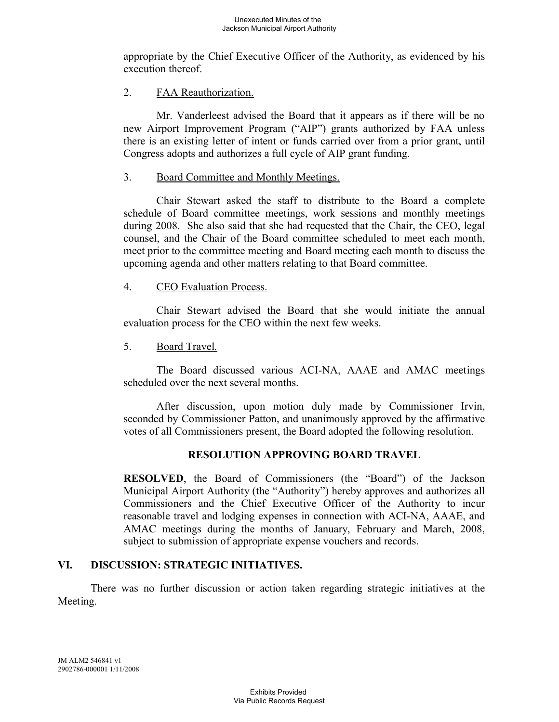appropriate by the Chief Executive Officer of the Authority, as evidenced by his execution thereof.

### 2. FAA Reauthorization.

Mr. Vanderleest advised the Board that it appears as if there will be no new Airport Improvement Program ("AIP") grants authorized by FAA unless there is an existing letter of intent or funds carried over from a prior grant, until Congress adopts and authorizes a full cycle of AIP grant funding.

### 3. Board Committee and Monthly Meetings.

Chair Stewart asked the staff to distribute to the Board a complete schedule of Board committee meetings, work sessions and monthly meetings during 2008. She also said that she had requested that the Chair, the CEO, legal counsel, and the Chair of the Board committee scheduled to meet each month, meet prior to the committee meeting and Board meeting each month to discuss the upcoming agenda and other matters relating to that Board committee.

### 4. CEO Evaluation Process.

Chair Stewart advised the Board that she would initiate the annual evaluation process for the CEO within the next few weeks.

5. Board Travel.

The Board discussed various ACI-NA, AAAE and AMAC meetings scheduled over the next several months.

After discussion, upon motion duly made by Commissioner Irvin, seconded by Commissioner Patton, and unanimously approved by the affirmative votes of all Commissioners present, the Board adopted the following resolution.

# **RESOLUTION APPROVING BOARD TRAVEL**

**RESOLVED**, the Board of Commissioners (the "Board") of the Jackson Municipal Airport Authority (the "Authority") hereby approves and authorizes all Commissioners and the Chief Executive Officer of the Authority to incur reasonable travel and lodging expenses in connection with ACI-NA, AAAE, and AMAC meetings during the months of January, February and March, 2008, subject to submission of appropriate expense vouchers and records.

# **VI. DISCUSSION: STRATEGIC INITIATIVES.**

There was no further discussion or action taken regarding strategic initiatives at the Meeting.